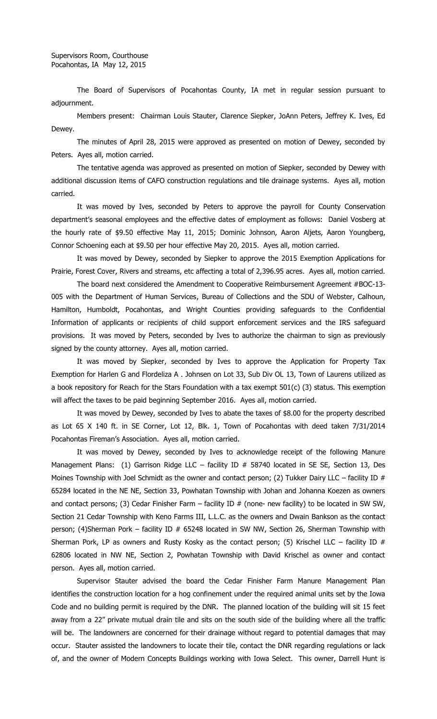The Board of Supervisors of Pocahontas County, IA met in regular session pursuant to adjournment.

Members present: Chairman Louis Stauter, Clarence Siepker, JoAnn Peters, Jeffrey K. Ives, Ed Dewey.

The minutes of April 28, 2015 were approved as presented on motion of Dewey, seconded by Peters. Ayes all, motion carried.

The tentative agenda was approved as presented on motion of Siepker, seconded by Dewey with additional discussion items of CAFO construction regulations and tile drainage systems. Ayes all, motion carried.

It was moved by Ives, seconded by Peters to approve the payroll for County Conservation department's seasonal employees and the effective dates of employment as follows: Daniel Vosberg at the hourly rate of \$9.50 effective May 11, 2015; Dominic Johnson, Aaron Aljets, Aaron Youngberg, Connor Schoening each at \$9.50 per hour effective May 20, 2015. Ayes all, motion carried.

It was moved by Dewey, seconded by Siepker to approve the 2015 Exemption Applications for Prairie, Forest Cover, Rivers and streams, etc affecting a total of 2,396.95 acres. Ayes all, motion carried.

The board next considered the Amendment to Cooperative Reimbursement Agreement #BOC-13- 005 with the Department of Human Services, Bureau of Collections and the SDU of Webster, Calhoun, Hamilton, Humboldt, Pocahontas, and Wright Counties providing safeguards to the Confidential Information of applicants or recipients of child support enforcement services and the IRS safeguard provisions. It was moved by Peters, seconded by Ives to authorize the chairman to sign as previously signed by the county attorney. Ayes all, motion carried.

It was moved by Siepker, seconded by Ives to approve the Application for Property Tax Exemption for Harlen G and Flordeliza A . Johnsen on Lot 33, Sub Div OL 13, Town of Laurens utilized as a book repository for Reach for the Stars Foundation with a tax exempt 501(c) (3) status. This exemption will affect the taxes to be paid beginning September 2016. Ayes all, motion carried.

It was moved by Dewey, seconded by Ives to abate the taxes of \$8.00 for the property described as Lot 65 X 140 ft. in SE Corner, Lot 12, Blk. 1, Town of Pocahontas with deed taken 7/31/2014 Pocahontas Fireman's Association. Ayes all, motion carried.

It was moved by Dewey, seconded by Ives to acknowledge receipt of the following Manure Management Plans: (1) Garrison Ridge LLC – facility ID # 58740 located in SE SE, Section 13, Des Moines Township with Joel Schmidt as the owner and contact person; (2) Tukker Dairy LLC – facility ID  $#$ 65284 located in the NE NE, Section 33, Powhatan Township with Johan and Johanna Koezen as owners and contact persons; (3) Cedar Finisher Farm – facility ID  $#$  (none- new facility) to be located in SW SW, Section 21 Cedar Township with Keno Farms III, L.L.C. as the owners and Dwain Bankson as the contact person; (4)Sherman Pork – facility ID # 65248 located in SW NW, Section 26, Sherman Township with Sherman Pork, LP as owners and Rusty Kosky as the contact person; (5) Krischel LLC – facility ID  $#$ 62806 located in NW NE, Section 2, Powhatan Township with David Krischel as owner and contact person. Ayes all, motion carried.

Supervisor Stauter advised the board the Cedar Finisher Farm Manure Management Plan identifies the construction location for a hog confinement under the required animal units set by the Iowa Code and no building permit is required by the DNR. The planned location of the building will sit 15 feet away from a 22" private mutual drain tile and sits on the south side of the building where all the traffic will be. The landowners are concerned for their drainage without regard to potential damages that may occur. Stauter assisted the landowners to locate their tile, contact the DNR regarding regulations or lack of, and the owner of Modern Concepts Buildings working with Iowa Select. This owner, Darrell Hunt is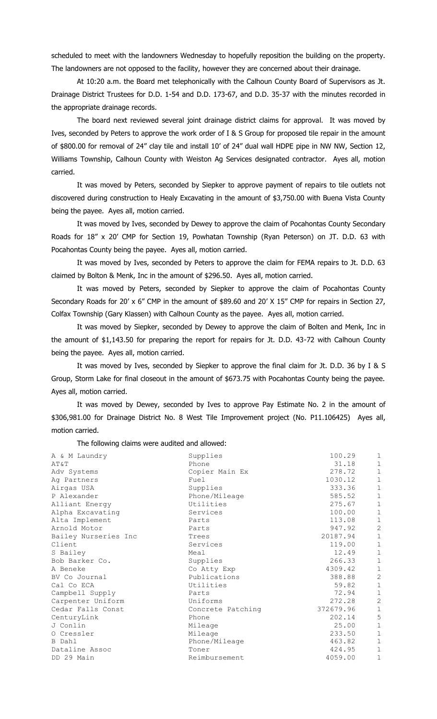scheduled to meet with the landowners Wednesday to hopefully reposition the building on the property. The landowners are not opposed to the facility, however they are concerned about their drainage.

At 10:20 a.m. the Board met telephonically with the Calhoun County Board of Supervisors as Jt. Drainage District Trustees for D.D. 1-54 and D.D. 173-67, and D.D. 35-37 with the minutes recorded in the appropriate drainage records.

The board next reviewed several joint drainage district claims for approval. It was moved by Ives, seconded by Peters to approve the work order of I & S Group for proposed tile repair in the amount of \$800.00 for removal of 24" clay tile and install 10' of 24" dual wall HDPE pipe in NW NW, Section 12, Williams Township, Calhoun County with Weiston Ag Services designated contractor. Ayes all, motion carried.

It was moved by Peters, seconded by Siepker to approve payment of repairs to tile outlets not discovered during construction to Healy Excavating in the amount of \$3,750.00 with Buena Vista County being the payee. Ayes all, motion carried.

It was moved by Ives, seconded by Dewey to approve the claim of Pocahontas County Secondary Roads for 18" x 20' CMP for Section 19, Powhatan Township (Ryan Peterson) on JT. D.D. 63 with Pocahontas County being the payee. Ayes all, motion carried.

It was moved by Ives, seconded by Peters to approve the claim for FEMA repairs to Jt. D.D. 63 claimed by Bolton & Menk, Inc in the amount of \$296.50. Ayes all, motion carried.

It was moved by Peters, seconded by Siepker to approve the claim of Pocahontas County Secondary Roads for 20' x 6" CMP in the amount of \$89.60 and 20' X 15" CMP for repairs in Section 27, Colfax Township (Gary Klassen) with Calhoun County as the payee. Ayes all, motion carried.

It was moved by Siepker, seconded by Dewey to approve the claim of Bolten and Menk, Inc in the amount of \$1,143.50 for preparing the report for repairs for Jt. D.D. 43-72 with Calhoun County being the payee. Ayes all, motion carried.

It was moved by Ives, seconded by Siepker to approve the final claim for Jt. D.D. 36 by I & S Group, Storm Lake for final closeout in the amount of \$673.75 with Pocahontas County being the payee. Ayes all, motion carried.

It was moved by Dewey, seconded by Ives to approve Pay Estimate No. 2 in the amount of \$306,981.00 for Drainage District No. 8 West Tile Improvement project (No. P11.106425) Ayes all, motion carried.

The following claims were audited and allowed:

| A & M Laundry        | Supplies          | 100.29    | $1\,$          |
|----------------------|-------------------|-----------|----------------|
| AT&T                 | Phone             | 31.18     | $1\,$          |
| Adv Systems          | Copier Main Ex    | 278.72    | $1\,$          |
| Ag Partners          | Fuel              | 1030.12   | $\mathbf 1$    |
| Airgas USA           | Supplies          | 333.36    | $\mathbf 1$    |
| P Alexander          | Phone/Mileage     | 585.52    | $\mathbf 1$    |
| Alliant Energy       | Utilities         | 275.67    | $\mathbf 1$    |
| Alpha Excavating     | Services          | 100.00    | $\mathbf 1$    |
| Alta Implement       | Parts             | 113.08    | $1\,$          |
| Arnold Motor         | Parts             | 947.92    | $\overline{c}$ |
| Bailey Nurseries Inc | Trees             | 20187.94  | $\mathbf 1$    |
| Client               | Services          | 119.00    | $1\,$          |
| S Bailey             | Meal              | 12.49     | $\mathbf 1$    |
| Bob Barker Co.       | Supplies          | 266.33    | $\mathbf 1$    |
| A Beneke             | Co Atty Exp       | 4309.42   | $\,1\,$        |
| BV Co Journal        | Publications      | 388.88    | $\overline{c}$ |
| Cal Co ECA           | Utilities         | 59.82     | $\mathbf 1$    |
| Campbell Supply      | Parts             | 72.94     | $\mathbf 1$    |
| Carpenter Uniform    | Uniforms          | 272.28    | $\overline{c}$ |
| Cedar Falls Const    | Concrete Patching | 372679.96 | $\mathbf 1$    |
| CenturyLink          | Phone             | 202.14    | 5              |
| J Conlin             | Mileage           | 25.00     | $1\,$          |
| O Cressler           | Mileage           | 233.50    | $1\,$          |
| B Dahl               | Phone/Mileage     | 463.82    | $1\,$          |
| Dataline Assoc       | Toner             | 424.95    | $1\,$          |
| DD 29 Main           | Reimbursement     | 4059.00   | $1\,$          |
|                      |                   |           |                |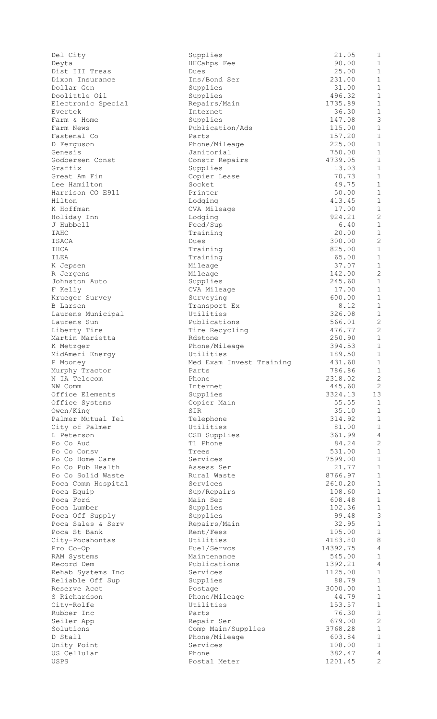| Del City                            | Supplies                              | 21.05              | 1                              |
|-------------------------------------|---------------------------------------|--------------------|--------------------------------|
| Deyta                               | HHCahps Fee                           | 90.00              | $\mathbf{1}$                   |
| Dist III Treas                      | Dues                                  | 25.00              | $\mathbf{1}$                   |
| Dixon Insurance                     | Ins/Bond Ser                          | 231.00<br>31.00    | $\mathbf{1}$<br>$\mathbf{1}$   |
| Dollar Gen<br>Doolittle Oil         | Supplies<br>Supplies                  | 496.32             | $\mathbf{1}$                   |
| Electronic Special                  | Repairs/Main                          | 1735.89            | $\mathbf{1}$                   |
| Evertek                             | Internet                              | 36.30              | $\mathbf{1}$                   |
| Farm & Home                         | Supplies                              | 147.08             | 3                              |
| Farm News                           | Publication/Ads                       | 115.00             | $\mathbf{1}$                   |
| Fastenal Co                         | Parts                                 | 157.20             | $\mathbf{1}$                   |
| D Ferguson                          | Phone/Mileage                         | 225.00             | $\mathbf{1}$                   |
| Genesis<br>Godbersen Const          | Janitorial                            | 750.00<br>4739.05  | $\mathbf{1}$<br>$\mathbf{1}$   |
| Graffix                             | Constr Repairs<br>Supplies            | 13.03              | 1                              |
| Great Am Fin                        | Copier Lease                          | 70.73              | $\mathbf{1}$                   |
| Lee Hamilton                        | Socket                                | 49.75              | $\mathbf{1}$                   |
| Harrison CO E911                    | Printer                               | 50.00              | $\mathbf{1}$                   |
| Hilton                              | Lodging                               | 413.45             | $\mathbf{1}$                   |
| K Hoffman                           | CVA Mileage                           | 17.00              | $\mathbf{1}$                   |
| Holiday Inn                         | Lodging                               | 924.21             | $\mathbf{2}$                   |
| J Hubbell<br>IAHC                   | Feed/Sup                              | 6.40               | $\mathbf{1}$<br>$\mathbf{1}$   |
| ISACA                               | Training<br>Dues                      | 20.00<br>300.00    | 2                              |
| IHCA                                | Training                              | 825.00             | $\mathbf{1}$                   |
| ILEA                                | Training                              | 65.00              | $\mathbf{1}$                   |
| K Jepsen                            | Mileage                               | 37.07              | $\mathbf{1}$                   |
| R Jergens                           | Mileage                               | 142.00             | $\overline{c}$                 |
| Johnston Auto                       | Supplies                              | 245.60             | $\mathbf{1}$                   |
| F Kelly                             | CVA Mileage                           | 17.00              | $\mathbf{1}$                   |
| Krueger Survey                      | Surveying                             | 600.00             | $\mathbf{1}$                   |
| B Larsen                            | Transport Ex                          | 8.12               | $\mathbf{1}$                   |
| Laurens Municipal                   | Utilities                             | 326.08             | $\mathbf{1}$                   |
| Laurens Sun                         | Publications                          | 566.01             | $\mathbf{2}$                   |
| Liberty Tire                        | Tire Recycling                        | 476.77             | $\mathbf{2}$                   |
| Martin Marietta                     | Rdstone                               | 250.90             | $\mathbf{1}$                   |
| K Metzger                           | Phone/Mileage                         | 394.53             | $\mathbf{1}$                   |
| MidAmeri Energy<br>P Mooney         | Utilities<br>Med Exam Invest Training | 189.50<br>431.60   | $\mathbf{1}$<br>$\,1\,$        |
| Murphy Tractor                      | Parts                                 | 786.86             | 1                              |
| N IA Telecom                        | Phone                                 | 2318.02            | 2                              |
| NW Comm                             | Internet                              | 445.60             | $\mathbf{2}$                   |
| Office Elements                     | Supplies                              | 3324.13            | 13                             |
| Office Systems                      | Copier Main                           | 55.55              | 1                              |
| Owen/King                           | SIR                                   | 35.10              | $\mathbf{1}$                   |
| Palmer Mutual Tel                   | Telephone                             | 314.92             | $\mathbf{1}$                   |
| City of Palmer                      | Utilities                             | 81.00              | $\mathbf{1}$                   |
| L Peterson                          | CSB Supplies                          | 361.99             | $\sqrt{4}$                     |
| Po Co Aud                           | T1 Phone                              | 84.24              | $\overline{c}$                 |
| Po Co Consy                         | Trees                                 | 531.00             | $\mathbf{1}$<br>$\mathbf{1}$   |
| Po Co Home Care<br>Po Co Pub Health | Services<br>Assess Ser                | 7599.00<br>21.77   | $\mathbf{1}$                   |
| Po Co Solid Waste                   | Rural Waste                           | 8766.97            | $\mathbf{1}$                   |
| Poca Comm Hospital                  | Services                              | 2610.20            | $\mathbf{1}$                   |
| Poca Equip                          | Sup/Repairs                           | 108.60             | $\mathbf{1}$                   |
| Poca Ford                           | Main Ser                              | 608.48             | $\mathbf{1}$                   |
| Poca Lumber                         | Supplies                              | 102.36             | $\,1\,$                        |
| Poca Off Supply                     | Supplies                              | 99.48              | $\mathcal{S}$                  |
| Poca Sales & Serv                   | Repairs/Main                          | 32.95              | $\mathbf{1}$                   |
| Poca St Bank                        | Rent/Fees                             | 105.00             | $\mathbf{1}$                   |
| City-Pocahontas                     | Utilities                             | 4183.80            | 8                              |
| Pro Co-Op                           | Fuel/Servcs                           | 14392.75           | 4                              |
| RAM Systems                         | Maintenance                           | 545.00             | $\mathbf{1}$<br>$\overline{4}$ |
| Record Dem<br>Rehab Systems Inc     | Publications<br>Services              | 1392.21<br>1125.00 | $\mathbf{1}$                   |
| Reliable Off Sup                    | Supplies                              | 88.79              | $\mathbf{1}$                   |
| Reserve Acct                        | Postage                               | 3000.00            | $\mathbf{1}$                   |
| S Richardson                        | Phone/Mileage                         | 44.79              | $\mathbf{1}$                   |
| City-Rolfe                          | Utilities                             | 153.57             | $\mathbf{1}$                   |
| Rubber Inc                          | Parts                                 | 76.30              | $\mathbf{1}$                   |
| Seiler App                          | Repair Ser                            | 679.00             | 2                              |
| Solutions                           | Comp Main/Supplies                    | 3768.28            | $\mathbf{1}$                   |
| D Stall                             | Phone/Mileage                         | 603.84             | $\mathbf{1}$                   |
| Unity Point                         | Services                              | 108.00             | $\mathbf{1}$                   |
| US Cellular                         | Phone                                 | 382.47             | 4                              |
| USPS                                | Postal Meter                          | 1201.45            | $\overline{c}$                 |